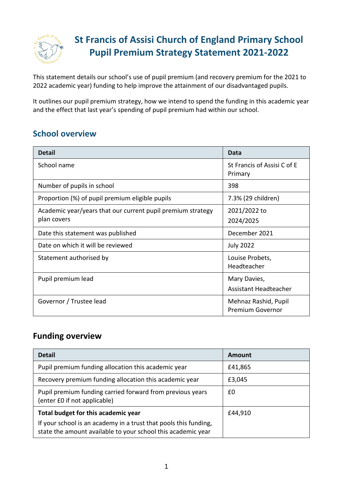

# **St Francis of Assisi Church of England Primary School Pupil Premium Strategy Statement 2021-2022**

This statement details our school's use of pupil premium (and recovery premium for the 2021 to 2022 academic year) funding to help improve the attainment of our disadvantaged pupils.

It outlines our pupil premium strategy, how we intend to spend the funding in this academic year and the effect that last year's spending of pupil premium had within our school.

#### **School overview**

| <b>Detail</b>                                               | Data                                   |
|-------------------------------------------------------------|----------------------------------------|
| School name                                                 | St Francis of Assisi C of E<br>Primary |
| Number of pupils in school                                  | 398                                    |
| Proportion (%) of pupil premium eligible pupils             | 7.3% (29 children)                     |
| Academic year/years that our current pupil premium strategy | 2021/2022 to                           |
| plan covers                                                 | 2024/2025                              |
| Date this statement was published                           | December 2021                          |
| Date on which it will be reviewed                           | <b>July 2022</b>                       |
| Statement authorised by                                     | Louise Probets,                        |
|                                                             | Headteacher                            |
| Pupil premium lead                                          | Mary Davies,                           |
|                                                             | Assistant Headteacher                  |
| Governor / Trustee lead                                     | Mehnaz Rashid, Pupil                   |
|                                                             | <b>Premium Governor</b>                |

#### **Funding overview**

| <b>Detail</b>                                                                                                                    | Amount  |
|----------------------------------------------------------------------------------------------------------------------------------|---------|
| Pupil premium funding allocation this academic year                                                                              | £41,865 |
| Recovery premium funding allocation this academic year                                                                           | £3,045  |
| Pupil premium funding carried forward from previous years<br>(enter £0 if not applicable)                                        | £0      |
| Total budget for this academic year                                                                                              | £44,910 |
| If your school is an academy in a trust that pools this funding,<br>state the amount available to your school this academic year |         |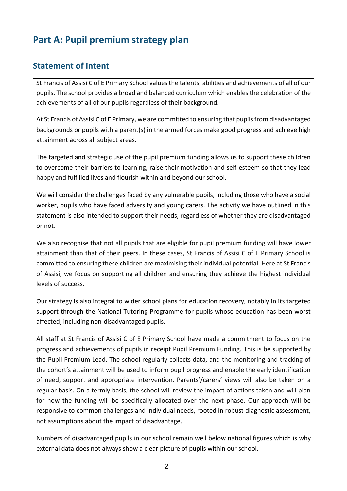# **Part A: Pupil premium strategy plan**

### **Statement of intent**

St Francis of Assisi C of E Primary School values the talents, abilities and achievements of all of our pupils. The school provides a broad and balanced curriculum which enables the celebration of the achievements of all of our pupils regardless of their background.

At St Francis of Assisi C of E Primary, we are committed to ensuring that pupils from disadvantaged backgrounds or pupils with a parent(s) in the armed forces make good progress and achieve high attainment across all subject areas.

The targeted and strategic use of the pupil premium funding allows us to support these children to overcome their barriers to learning, raise their motivation and self-esteem so that they lead happy and fulfilled lives and flourish within and beyond our school.

We will consider the challenges faced by any vulnerable pupils, including those who have a social worker, pupils who have faced adversity and young carers. The activity we have outlined in this statement is also intended to support their needs, regardless of whether they are disadvantaged or not.

We also recognise that not all pupils that are eligible for pupil premium funding will have lower attainment than that of their peers. In these cases, St Francis of Assisi C of E Primary School is committed to ensuring these children are maximising their individual potential. Here at St Francis of Assisi, we focus on supporting all children and ensuring they achieve the highest individual levels of success.

Our strategy is also integral to wider school plans for education recovery, notably in its targeted support through the National Tutoring Programme for pupils whose education has been worst affected, including non-disadvantaged pupils.

All staff at St Francis of Assisi C of E Primary School have made a commitment to focus on the progress and achievements of pupils in receipt Pupil Premium Funding. This is be supported by the Pupil Premium Lead. The school regularly collects data, and the monitoring and tracking of the cohort's attainment will be used to inform pupil progress and enable the early identification of need, support and appropriate intervention. Parents'/carers' views will also be taken on a regular basis. On a termly basis, the school will review the impact of actions taken and will plan for how the funding will be specifically allocated over the next phase. Our approach will be responsive to common challenges and individual needs, rooted in robust diagnostic assessment, not assumptions about the impact of disadvantage.

Numbers of disadvantaged pupils in our school remain well below national figures which is why external data does not always show a clear picture of pupils within our school.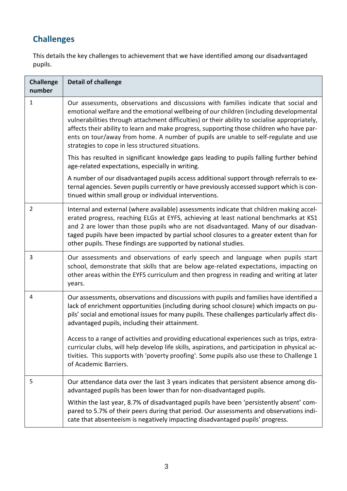# **Challenges**

This details the key challenges to achievement that we have identified among our disadvantaged pupils.

| <b>Challenge</b><br>number | <b>Detail of challenge</b>                                                                                                                                                                                                                                                                                                                                                                                                                                                                                               |
|----------------------------|--------------------------------------------------------------------------------------------------------------------------------------------------------------------------------------------------------------------------------------------------------------------------------------------------------------------------------------------------------------------------------------------------------------------------------------------------------------------------------------------------------------------------|
| 1                          | Our assessments, observations and discussions with families indicate that social and<br>emotional welfare and the emotional wellbeing of our children (including developmental<br>vulnerabilities through attachment difficulties) or their ability to socialise appropriately,<br>affects their ability to learn and make progress, supporting those children who have par-<br>ents on tour/away from home. A number of pupils are unable to self-regulate and use<br>strategies to cope in less structured situations. |
|                            | This has resulted in significant knowledge gaps leading to pupils falling further behind<br>age-related expectations, especially in writing.                                                                                                                                                                                                                                                                                                                                                                             |
|                            | A number of our disadvantaged pupils access additional support through referrals to ex-<br>ternal agencies. Seven pupils currently or have previously accessed support which is con-<br>tinued within small group or individual interventions.                                                                                                                                                                                                                                                                           |
| $\overline{2}$             | Internal and external (where available) assessments indicate that children making accel-<br>erated progress, reaching ELGs at EYFS, achieving at least national benchmarks at KS1<br>and 2 are lower than those pupils who are not disadvantaged. Many of our disadvan-<br>taged pupils have been impacted by partial school closures to a greater extent than for<br>other pupils. These findings are supported by national studies.                                                                                    |
| 3                          | Our assessments and observations of early speech and language when pupils start<br>school, demonstrate that skills that are below age-related expectations, impacting on<br>other areas within the EYFS curriculum and then progress in reading and writing at later<br>years.                                                                                                                                                                                                                                           |
| 4                          | Our assessments, observations and discussions with pupils and families have identified a<br>lack of enrichment opportunities (including during school closure) which impacts on pu-<br>pils' social and emotional issues for many pupils. These challenges particularly affect dis-<br>advantaged pupils, including their attainment.                                                                                                                                                                                    |
|                            | Access to a range of activities and providing educational experiences such as trips, extra-<br>curricular clubs, will help develop life skills, aspirations, and participation in physical ac-<br>tivities. This supports with 'poverty proofing'. Some pupils also use these to Challenge 1<br>of Academic Barriers.                                                                                                                                                                                                    |
| 5                          | Our attendance data over the last 3 years indicates that persistent absence among dis-<br>advantaged pupils has been lower than for non-disadvantaged pupils.                                                                                                                                                                                                                                                                                                                                                            |
|                            | Within the last year, 8.7% of disadvantaged pupils have been 'persistently absent' com-<br>pared to 5.7% of their peers during that period. Our assessments and observations indi-<br>cate that absenteeism is negatively impacting disadvantaged pupils' progress.                                                                                                                                                                                                                                                      |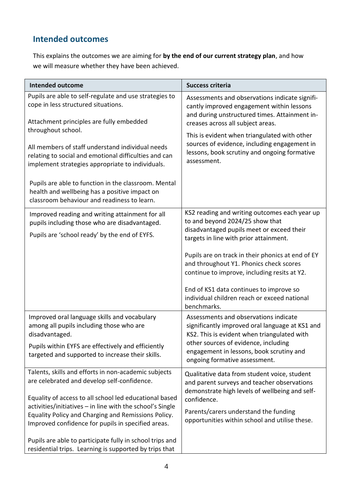## **Intended outcomes**

This explains the outcomes we are aiming for **by the end of our current strategy plan**, and how we will measure whether they have been achieved.

| <b>Intended outcome</b>                                                                                                                                                             | <b>Success criteria</b>                                                                                                                                                           |
|-------------------------------------------------------------------------------------------------------------------------------------------------------------------------------------|-----------------------------------------------------------------------------------------------------------------------------------------------------------------------------------|
| Pupils are able to self-regulate and use strategies to<br>cope in less structured situations.<br>Attachment principles are fully embedded                                           | Assessments and observations indicate signifi-<br>cantly improved engagement within lessons<br>and during unstructured times. Attainment in-<br>creases across all subject areas. |
| throughout school.<br>All members of staff understand individual needs<br>relating to social and emotional difficulties and can<br>implement strategies appropriate to individuals. | This is evident when triangulated with other<br>sources of evidence, including engagement in<br>lessons, book scrutiny and ongoing formative<br>assessment.                       |
| Pupils are able to function in the classroom. Mental<br>health and wellbeing has a positive impact on<br>classroom behaviour and readiness to learn.                                |                                                                                                                                                                                   |
| Improved reading and writing attainment for all<br>pupils including those who are disadvantaged.                                                                                    | KS2 reading and writing outcomes each year up<br>to and beyond 2024/25 show that<br>disadvantaged pupils meet or exceed their                                                     |
| Pupils are 'school ready' by the end of EYFS.                                                                                                                                       | targets in line with prior attainment.                                                                                                                                            |
|                                                                                                                                                                                     | Pupils are on track in their phonics at end of EY<br>and throughout Y1. Phonics check scores<br>continue to improve, including resits at Y2.                                      |
|                                                                                                                                                                                     | End of KS1 data continues to improve so<br>individual children reach or exceed national<br>benchmarks.                                                                            |
| Improved oral language skills and vocabulary<br>among all pupils including those who are<br>disadvantaged.                                                                          | Assessments and observations indicate<br>significantly improved oral language at KS1 and<br>KS2. This is evident when triangulated with                                           |
| Pupils within EYFS are effectively and efficiently<br>targeted and supported to increase their skills.                                                                              | other sources of evidence, including<br>engagement in lessons, book scrutiny and<br>ongoing formative assessment.                                                                 |
| Talents, skills and efforts in non-academic subjects<br>are celebrated and develop self-confidence.                                                                                 | Qualitative data from student voice, student<br>and parent surveys and teacher observations<br>demonstrate high levels of wellbeing and self-                                     |
| Equality of access to all school led educational based<br>activities/initiatives - in line with the school's Single                                                                 | confidence.                                                                                                                                                                       |
| Equality Policy and Charging and Remissions Policy.<br>Improved confidence for pupils in specified areas.                                                                           | Parents/carers understand the funding<br>opportunities within school and utilise these.                                                                                           |
| Pupils are able to participate fully in school trips and<br>residential trips. Learning is supported by trips that                                                                  |                                                                                                                                                                                   |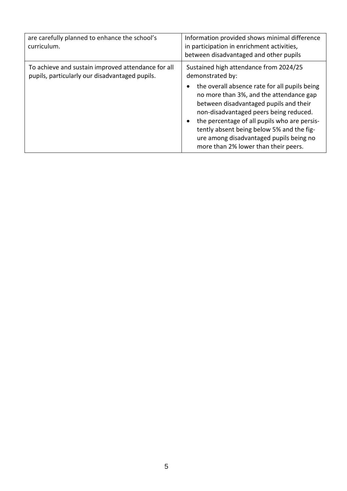| are carefully planned to enhance the school's<br>curriculum.                                         | Information provided shows minimal difference<br>in participation in enrichment activities,<br>between disadvantaged and other pupils                                                                                                                                                                                                                                                                                                   |
|------------------------------------------------------------------------------------------------------|-----------------------------------------------------------------------------------------------------------------------------------------------------------------------------------------------------------------------------------------------------------------------------------------------------------------------------------------------------------------------------------------------------------------------------------------|
| To achieve and sustain improved attendance for all<br>pupils, particularly our disadvantaged pupils. | Sustained high attendance from 2024/25<br>demonstrated by:<br>the overall absence rate for all pupils being<br>no more than 3%, and the attendance gap<br>between disadvantaged pupils and their<br>non-disadvantaged peers being reduced.<br>the percentage of all pupils who are persis-<br>$\bullet$<br>tently absent being below 5% and the fig-<br>ure among disadvantaged pupils being no<br>more than 2% lower than their peers. |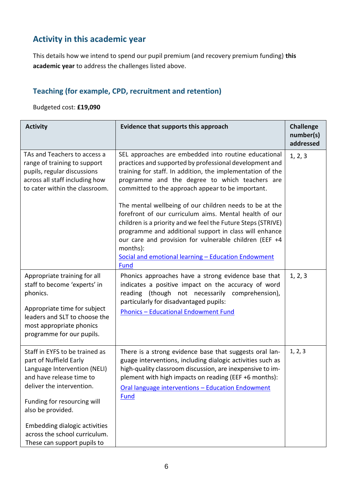## **Activity in this academic year**

This details how we intend to spend our pupil premium (and recovery premium funding) **this academic year** to address the challenges listed above.

#### **Teaching (for example, CPD, recruitment and retention)**

Budgeted cost: **£19,090**

| <b>Activity</b>                                                                                                                                                                                                                                                                                               | Evidence that supports this approach                                                                                                                                                                                                                                                                                                                                                                                                                                                                                                                                                                                                                                            | <b>Challenge</b><br>number(s)<br>addressed |
|---------------------------------------------------------------------------------------------------------------------------------------------------------------------------------------------------------------------------------------------------------------------------------------------------------------|---------------------------------------------------------------------------------------------------------------------------------------------------------------------------------------------------------------------------------------------------------------------------------------------------------------------------------------------------------------------------------------------------------------------------------------------------------------------------------------------------------------------------------------------------------------------------------------------------------------------------------------------------------------------------------|--------------------------------------------|
| TAs and Teachers to access a<br>range of training to support<br>pupils, regular discussions<br>across all staff including how<br>to cater within the classroom.                                                                                                                                               | SEL approaches are embedded into routine educational<br>practices and supported by professional development and<br>training for staff. In addition, the implementation of the<br>programme and the degree to which teachers are<br>committed to the approach appear to be important.<br>The mental wellbeing of our children needs to be at the<br>forefront of our curriculum aims. Mental health of our<br>children is a priority and we feel the Future Steps (STRIVE)<br>programme and additional support in class will enhance<br>our care and provision for vulnerable children (EEF +4<br>months):<br>Social and emotional learning - Education Endowment<br><b>Fund</b> | 1, 2, 3                                    |
| Appropriate training for all<br>staff to become 'experts' in<br>phonics.<br>Appropriate time for subject<br>leaders and SLT to choose the<br>most appropriate phonics<br>programme for our pupils.                                                                                                            | Phonics approaches have a strong evidence base that<br>indicates a positive impact on the accuracy of word<br>reading (though not necessarily comprehension),<br>particularly for disadvantaged pupils:<br><b>Phonics - Educational Endowment Fund</b>                                                                                                                                                                                                                                                                                                                                                                                                                          | 1, 2, 3                                    |
| Staff in EYFS to be trained as<br>part of Nuffield Early<br>Language Intervention (NELI)<br>and have release time to<br>deliver the intervention.<br>Funding for resourcing will<br>also be provided.<br><b>Embedding dialogic activities</b><br>across the school curriculum.<br>These can support pupils to | There is a strong evidence base that suggests oral lan-<br>guage interventions, including dialogic activities such as<br>high-quality classroom discussion, are inexpensive to im-<br>plement with high impacts on reading (EEF +6 months):<br>Oral language interventions - Education Endowment<br>Fund                                                                                                                                                                                                                                                                                                                                                                        | 1, 2, 3                                    |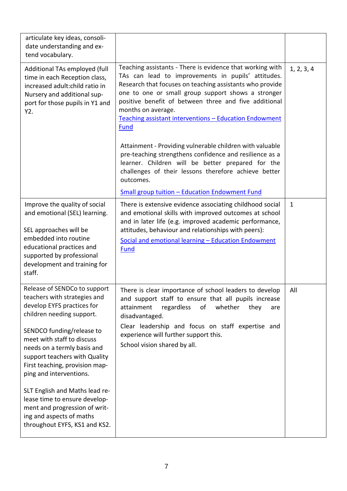| Teaching assistants - There is evidence that working with<br>TAs can lead to improvements in pupils' attitudes.<br>Research that focuses on teaching assistants who provide<br>one to one or small group support shows a stronger<br>positive benefit of between three and five additional<br>months on average.<br>Teaching assistant interventions - Education Endowment<br>Fund | 1, 2, 3, 4   |
|------------------------------------------------------------------------------------------------------------------------------------------------------------------------------------------------------------------------------------------------------------------------------------------------------------------------------------------------------------------------------------|--------------|
| Attainment - Providing vulnerable children with valuable<br>pre-teaching strengthens confidence and resilience as a<br>learner. Children will be better prepared for the<br>challenges of their lessons therefore achieve better<br>outcomes.                                                                                                                                      |              |
| <b>Small group tuition - Education Endowment Fund</b>                                                                                                                                                                                                                                                                                                                              |              |
| There is extensive evidence associating childhood social<br>and emotional skills with improved outcomes at school<br>and in later life (e.g. improved academic performance,<br>attitudes, behaviour and relationships with peers):<br>Social and emotional learning - Education Endowment<br><b>Fund</b>                                                                           | $\mathbf{1}$ |
| There is clear importance of school leaders to develop<br>and support staff to ensure that all pupils increase<br>attainment<br>regardless<br>whether<br>of<br>they<br>are<br>disadvantaged.<br>Clear leadership and focus on staff expertise and<br>experience will further support this.<br>School vision shared by all.                                                         | All          |
|                                                                                                                                                                                                                                                                                                                                                                                    |              |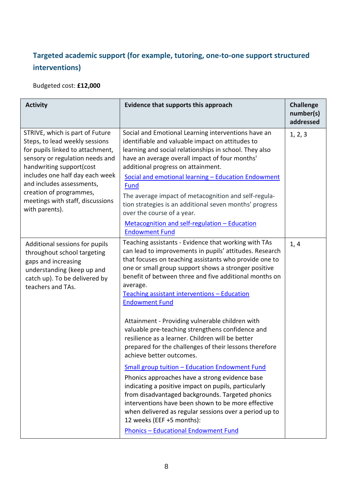## **Targeted academic support (for example, tutoring, one-to-one support structured interventions)**

Budgeted cost: **£12,000**

| <b>Activity</b>                                                                                                                                                                                                                                                                                                       | <b>Evidence that supports this approach</b>                                                                                                                                                                                                                                                                                                                                                                                                                                                                                                                                                                                       | <b>Challenge</b><br>number(s)<br>addressed |
|-----------------------------------------------------------------------------------------------------------------------------------------------------------------------------------------------------------------------------------------------------------------------------------------------------------------------|-----------------------------------------------------------------------------------------------------------------------------------------------------------------------------------------------------------------------------------------------------------------------------------------------------------------------------------------------------------------------------------------------------------------------------------------------------------------------------------------------------------------------------------------------------------------------------------------------------------------------------------|--------------------------------------------|
| STRIVE, which is part of Future<br>Steps, to lead weekly sessions<br>for pupils linked to attachment,<br>sensory or regulation needs and<br>handwriting support(cost<br>includes one half day each week<br>and includes assessments,<br>creation of programmes,<br>meetings with staff, discussions<br>with parents). | Social and Emotional Learning interventions have an<br>identifiable and valuable impact on attitudes to<br>learning and social relationships in school. They also<br>have an average overall impact of four months'<br>additional progress on attainment.<br>Social and emotional learning - Education Endowment<br><b>Fund</b><br>The average impact of metacognition and self-regula-<br>tion strategies is an additional seven months' progress<br>over the course of a year.<br>Metacognition and self-regulation - Education<br><b>Endowment Fund</b>                                                                        | 1, 2, 3                                    |
| Additional sessions for pupils<br>throughout school targeting<br>gaps and increasing<br>understanding (keep up and<br>catch up). To be delivered by<br>teachers and TAs.                                                                                                                                              | Teaching assistants - Evidence that working with TAs<br>can lead to improvements in pupils' attitudes. Research<br>that focuses on teaching assistants who provide one to<br>one or small group support shows a stronger positive<br>benefit of between three and five additional months on<br>average.<br>Teaching assistant interventions - Education<br><b>Endowment Fund</b><br>Attainment - Providing vulnerable children with<br>valuable pre-teaching strengthens confidence and<br>resilience as a learner. Children will be better<br>prepared for the challenges of their lessons therefore<br>achieve better outcomes. | 1, 4                                       |
|                                                                                                                                                                                                                                                                                                                       | <b>Small group tuition - Education Endowment Fund</b><br>Phonics approaches have a strong evidence base<br>indicating a positive impact on pupils, particularly<br>from disadvantaged backgrounds. Targeted phonics<br>interventions have been shown to be more effective<br>when delivered as regular sessions over a period up to<br>12 weeks (EEF +5 months):<br><b>Phonics - Educational Endowment Fund</b>                                                                                                                                                                                                                   |                                            |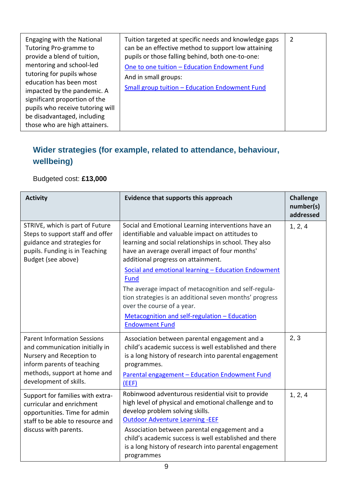| Engaging with the National<br>Tutoring Pro-gramme to<br>provide a blend of tuition,<br>mentoring and school-led<br>tutoring for pupils whose<br>education has been most<br>impacted by the pandemic. A<br>significant proportion of the<br>pupils who receive tutoring will<br>be disadvantaged, including<br>those who are high attainers. | Tuition targeted at specific needs and knowledge gaps<br>can be an effective method to support low attaining<br>pupils or those falling behind, both one-to-one:<br>One to one tuition - Education Endowment Fund<br>And in small groups:<br>Small group tuition - Education Endowment Fund | 2 |
|---------------------------------------------------------------------------------------------------------------------------------------------------------------------------------------------------------------------------------------------------------------------------------------------------------------------------------------------|---------------------------------------------------------------------------------------------------------------------------------------------------------------------------------------------------------------------------------------------------------------------------------------------|---|
|---------------------------------------------------------------------------------------------------------------------------------------------------------------------------------------------------------------------------------------------------------------------------------------------------------------------------------------------|---------------------------------------------------------------------------------------------------------------------------------------------------------------------------------------------------------------------------------------------------------------------------------------------|---|

## **Wider strategies (for example, related to attendance, behaviour, wellbeing)**

Budgeted cost: **£13,000**

| <b>Activity</b>                                                                                                                                                                          | Evidence that supports this approach                                                                                                                                                                                                                                                                                                                                        | <b>Challenge</b><br>number(s)<br>addressed |
|------------------------------------------------------------------------------------------------------------------------------------------------------------------------------------------|-----------------------------------------------------------------------------------------------------------------------------------------------------------------------------------------------------------------------------------------------------------------------------------------------------------------------------------------------------------------------------|--------------------------------------------|
| STRIVE, which is part of Future<br>Steps to support staff and offer<br>guidance and strategies for<br>pupils. Funding is in Teaching<br>Budget (see above)                               | Social and Emotional Learning interventions have an<br>identifiable and valuable impact on attitudes to<br>learning and social relationships in school. They also<br>have an average overall impact of four months'<br>additional progress on attainment.<br>Social and emotional learning - Education Endowment                                                            | 1, 2, 4                                    |
|                                                                                                                                                                                          | <b>Fund</b><br>The average impact of metacognition and self-regula-<br>tion strategies is an additional seven months' progress<br>over the course of a year.<br>Metacognition and self-regulation - Education                                                                                                                                                               |                                            |
| <b>Parent Information Sessions</b><br>and communication initially in<br>Nursery and Reception to<br>inform parents of teaching<br>methods, support at home and<br>development of skills. | <b>Endowment Fund</b><br>Association between parental engagement and a<br>child's academic success is well established and there<br>is a long history of research into parental engagement<br>programmes.<br>Parental engagement - Education Endowment Fund<br>(EEF)                                                                                                        | 2, 3                                       |
| Support for families with extra-<br>curricular and enrichment<br>opportunities. Time for admin<br>staff to be able to resource and<br>discuss with parents.                              | Robinwood adventurous residential visit to provide<br>high level of physical and emotional challenge and to<br>develop problem solving skills.<br><b>Outdoor Adventure Learning -EEF</b><br>Association between parental engagement and a<br>child's academic success is well established and there<br>is a long history of research into parental engagement<br>programmes | 1, 2, 4                                    |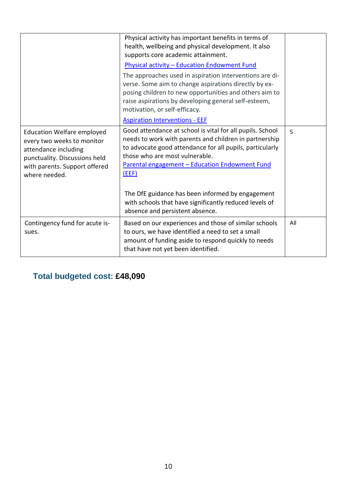|                                                                                                                                                                            | Physical activity has important benefits in terms of<br>health, wellbeing and physical development. It also<br>supports core academic attainment.                                                                                                                                                                                |     |
|----------------------------------------------------------------------------------------------------------------------------------------------------------------------------|----------------------------------------------------------------------------------------------------------------------------------------------------------------------------------------------------------------------------------------------------------------------------------------------------------------------------------|-----|
|                                                                                                                                                                            | <b>Physical activity - Education Endowment Fund</b>                                                                                                                                                                                                                                                                              |     |
|                                                                                                                                                                            | The approaches used in aspiration interventions are di-<br>verse. Some aim to change aspirations directly by ex-                                                                                                                                                                                                                 |     |
|                                                                                                                                                                            | posing children to new opportunities and others aim to<br>raise aspirations by developing general self-esteem,<br>motivation, or self-efficacy.                                                                                                                                                                                  |     |
|                                                                                                                                                                            | <b>Aspiration Interventions - EEF</b>                                                                                                                                                                                                                                                                                            |     |
| <b>Education Welfare employed</b><br>every two weeks to monitor<br>attendance including<br>punctuality. Discussions held<br>with parents. Support offered<br>where needed. | Good attendance at school is vital for all pupils. School<br>needs to work with parents and children in partnership<br>to advocate good attendance for all pupils, particularly<br>those who are most vulnerable.<br>Parental engagement - Education Endowment Fund<br>(EEF)<br>The DfE guidance has been informed by engagement | 5   |
|                                                                                                                                                                            | with schools that have significantly reduced levels of<br>absence and persistent absence.                                                                                                                                                                                                                                        |     |
| Contingency fund for acute is-<br>sues.                                                                                                                                    | Based on our experiences and those of similar schools<br>to ours, we have identified a need to set a small<br>amount of funding aside to respond quickly to needs<br>that have not yet been identified.                                                                                                                          | All |

## **Total budgeted cost: £48,090**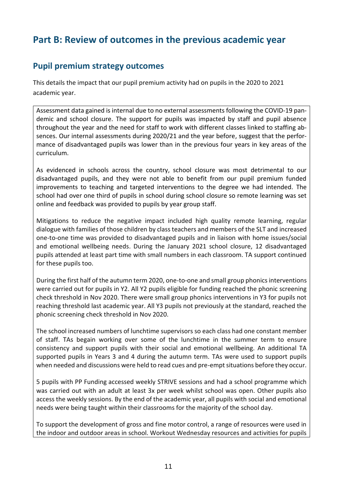## **Part B: Review of outcomes in the previous academic year**

#### **Pupil premium strategy outcomes**

This details the impact that our pupil premium activity had on pupils in the 2020 to 2021 academic year.

Assessment data gained is internal due to no external assessments following the COVID-19 pandemic and school closure. The support for pupils was impacted by staff and pupil absence throughout the year and the need for staff to work with different classes linked to staffing absences. Our internal assessments during 2020/21 and the year before, suggest that the performance of disadvantaged pupils was lower than in the previous four years in key areas of the curriculum.

As evidenced in schools across the country, school closure was most detrimental to our disadvantaged pupils, and they were not able to benefit from our pupil premium funded improvements to teaching and targeted interventions to the degree we had intended. The school had over one third of pupils in school during school closure so remote learning was set online and feedback was provided to pupils by year group staff.

Mitigations to reduce the negative impact included high quality remote learning, regular dialogue with families of those children by class teachers and members of the SLT and increased one-to-one time was provided to disadvantaged pupils and in liaison with home issues/social and emotional wellbeing needs. During the January 2021 school closure, 12 disadvantaged pupils attended at least part time with small numbers in each classroom. TA support continued for these pupils too.

During the first half of the autumn term 2020, one-to-one and small group phonics interventions were carried out for pupils in Y2. All Y2 pupils eligible for funding reached the phonic screening check threshold in Nov 2020. There were small group phonics interventions in Y3 for pupils not reaching threshold last academic year. All Y3 pupils not previously at the standard, reached the phonic screening check threshold in Nov 2020.

The school increased numbers of lunchtime supervisors so each class had one constant member of staff. TAs begain working over some of the lunchtime in the summer term to ensure consistency and support pupils with their social and emotional wellbeing. An additional TA supported pupils in Years 3 and 4 during the autumn term. TAs were used to support pupils when needed and discussions were held to read cues and pre-empt situations before they occur.

5 pupils with PP Funding accessed weekly STRIVE sessions and had a school programme which was carried out with an adult at least 3x per week whilst school was open. Other pupils also access the weekly sessions. By the end of the academic year, all pupils with social and emotional needs were being taught within their classrooms for the majority of the school day.

To support the development of gross and fine motor control, a range of resources were used in the indoor and outdoor areas in school. Workout Wednesday resources and activities for pupils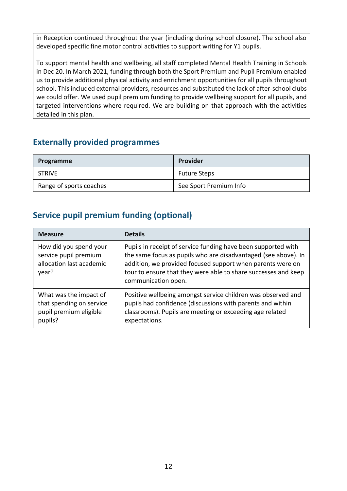in Reception continued throughout the year (including during school closure). The school also developed specific fine motor control activities to support writing for Y1 pupils.

To support mental health and wellbeing, all staff completed Mental Health Training in Schools in Dec 20. In March 2021, funding through both the Sport Premium and Pupil Premium enabled us to provide additional physical activity and enrichment opportunities for all pupils throughout school. This included external providers, resources and substituted the lack of after-school clubs we could offer. We used pupil premium funding to provide wellbeing support for all pupils, and targeted interventions where required. We are building on that approach with the activities detailed in this plan.

#### **Externally provided programmes**

| Programme               | Provider               |
|-------------------------|------------------------|
| <b>STRIVE</b>           | <b>Future Steps</b>    |
| Range of sports coaches | See Sport Premium Info |

#### **Service pupil premium funding (optional)**

| <b>Measure</b>                                                                          | <b>Details</b>                                                                                                                                                                                                                                                                         |
|-----------------------------------------------------------------------------------------|----------------------------------------------------------------------------------------------------------------------------------------------------------------------------------------------------------------------------------------------------------------------------------------|
| How did you spend your<br>service pupil premium<br>allocation last academic<br>year?    | Pupils in receipt of service funding have been supported with<br>the same focus as pupils who are disadvantaged (see above). In<br>addition, we provided focused support when parents were on<br>tour to ensure that they were able to share successes and keep<br>communication open. |
| What was the impact of<br>that spending on service<br>pupil premium eligible<br>pupils? | Positive wellbeing amongst service children was observed and<br>pupils had confidence (discussions with parents and within<br>classrooms). Pupils are meeting or exceeding age related<br>expectations.                                                                                |